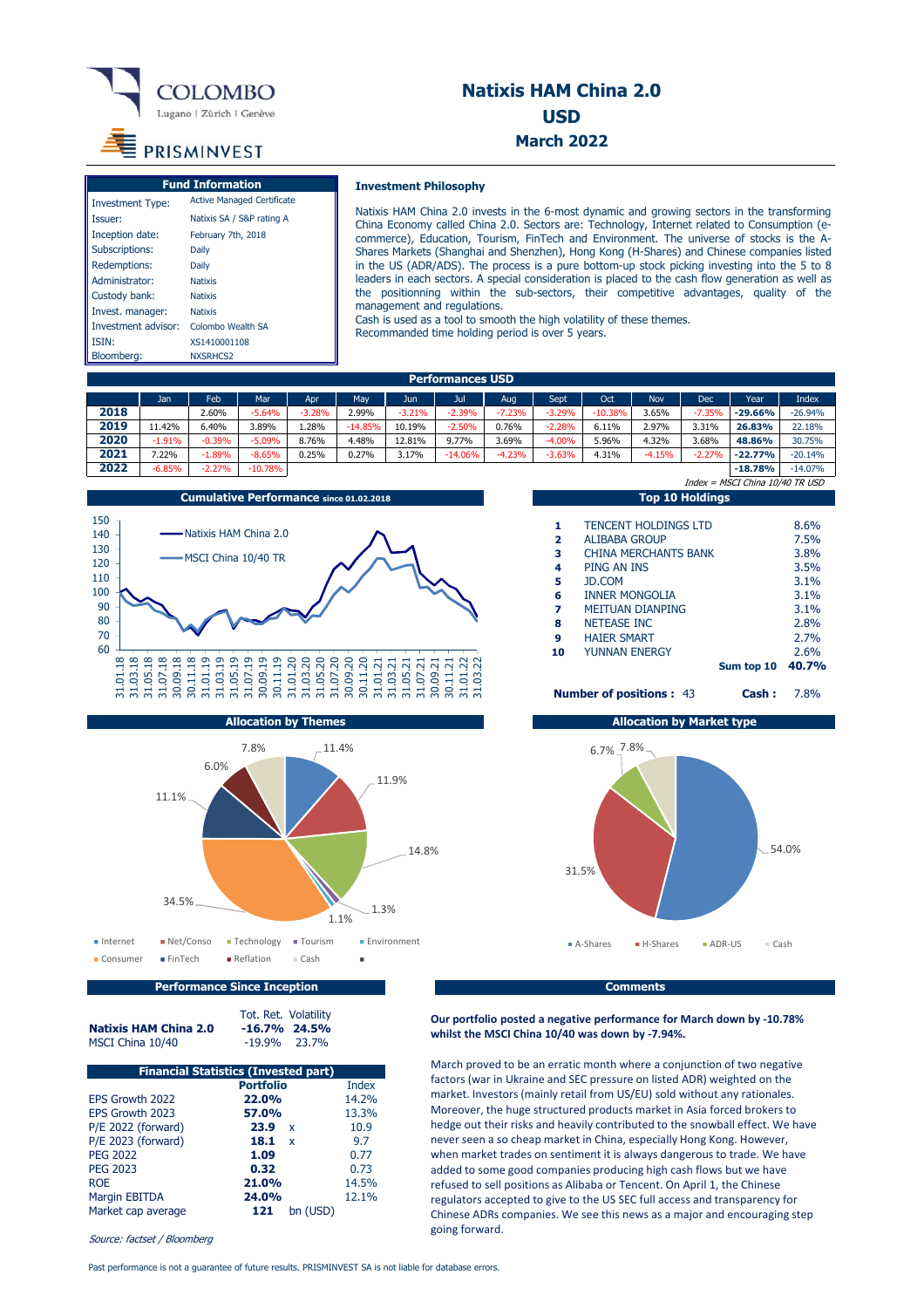

# **Natixis HAM China 2.0 USD March 2022**

# PRISMINVEST

| <b>Fund Information</b> |                                   |  |  |  |  |
|-------------------------|-----------------------------------|--|--|--|--|
| <b>Investment Type:</b> | <b>Active Managed Certificate</b> |  |  |  |  |
| Issuer:                 | Natixis SA / S&P rating A         |  |  |  |  |
| Inception date:         | February 7th, 2018                |  |  |  |  |
| Subscriptions:          | Daily                             |  |  |  |  |
| Redemptions:            | Daily                             |  |  |  |  |
| Administrator:          | <b>Natixis</b>                    |  |  |  |  |
| Custody bank:           | <b>Natixis</b>                    |  |  |  |  |
| Invest. manager:        | <b>Natixis</b>                    |  |  |  |  |
| Investment advisor:     | Colombo Wealth SA                 |  |  |  |  |
| ISIN:                   | XS1410001108                      |  |  |  |  |
| Bloomberg:              | NXSRHCS2                          |  |  |  |  |

# **Investment Philosophy**

Natixis HAM China 2.0 invests in the 6-most dynamic and growing sectors in the transforming China Economy called China 2.0. Sectors are: Technology, Internet related to Consumption (ecommerce), Education, Tourism, FinTech and Environment. The universe of stocks is the A-Shares Markets (Shanghai and Shenzhen), Hong Kong (H-Shares) and Chinese companies listed in the US (ADR/ADS). The process is a pure bottom-up stock picking investing into the 5 to 8 leaders in each sectors. A special consideration is placed to the cash flow generation as well as the positionning within the sub-sectors, their competitive advantages, quality of the management and regulations.

Cash is used as a tool to smooth the high volatility of these themes. Recommanded time holding period is over 5 years.

| Performances USD |          |          |           |          |           |          |           |          |          |           |            |            |                                 |              |
|------------------|----------|----------|-----------|----------|-----------|----------|-----------|----------|----------|-----------|------------|------------|---------------------------------|--------------|
|                  | Jan      | Feb      | Mar       | Apr      | May       | Jun      | Jul       | Aug      | Sept     | Oct       | <b>Nov</b> | <b>Dec</b> | Year                            | <b>Index</b> |
| 2018             |          | 2.60%    | $-5.64%$  | $-3.28%$ | 2.99%     | $-3.21%$ | $-2.39%$  | $-7.23%$ | $-3.29%$ | $-10.38%$ | 3.65%      | $-7.35%$   | $-29.66%$                       | $-26.94%$    |
| 2019             | 1.42%    | 6.40%    | 3.89%     | 28%،     | $-14.85%$ | 10.19%   | $-2.50%$  | 0.76%    | $-2.28%$ | 6.11%     | 2.97%      | 3.31%      | 26.83%                          | 22.18%       |
| 2020             | $-1.91%$ | $-0.39%$ | $-5.09%$  | 8.76%    | 4.48%     | 12.81%   | 9.77%     | 3.69%    | $-4.00%$ | 5.96%     | 4.32%      | 3.68%      | 48.86%                          | 30.75%       |
| 2021             | 7.22%    | $-1.89%$ | $-8.65%$  | 0.25%    | 0.27%     | 3.17%    | $-14.06%$ | $-4.23%$ | $-3.63%$ | 4.31%     | $-4.15%$   | $-2.27%$   | $-22.77%$                       | $-20.14%$    |
| 2022             | $-6.85%$ | $-2.27%$ | $-10.78%$ |          |           |          |           |          |          |           |            |            | $-18.78%$                       | $-14.07%$    |
|                  |          |          |           |          |           |          |           |          |          |           |            |            | Index = MSCI China 10/40 TR USD |              |





**Performance Since Inception Comments Comments** 

Tot. Ret. Volatility<br>-16.7% 24.5%

**Natixis HAM China 2.0 -16.7% 24.5%**<br>MSCI China 10/40 -19.9% 23.7%

| <b>Financial Statistics (Invested part)</b> |                      |              |  |  |  |  |
|---------------------------------------------|----------------------|--------------|--|--|--|--|
|                                             | <b>Portfolio</b>     | <b>Index</b> |  |  |  |  |
| EPS Growth 2022                             | 22.0%                | 14.2%        |  |  |  |  |
| EPS Growth 2023                             | 57.0%                | 13.3%        |  |  |  |  |
| P/E 2022 (forward)                          | 23.9<br>x            | 10.9         |  |  |  |  |
| P/E 2023 (forward)                          | 18.1<br>$\mathbf{x}$ | 9.7          |  |  |  |  |
| <b>PEG 2022</b>                             | 1.09                 | 0.77         |  |  |  |  |
| <b>PEG 2023</b>                             | 0.32                 | 0.73         |  |  |  |  |
| <b>ROE</b>                                  | 21.0%                | 14.5%        |  |  |  |  |
| <b>Margin EBITDA</b>                        | 24.0%                | 12.1%        |  |  |  |  |
| Market cap average                          | 121<br>bn (USD)      |              |  |  |  |  |

Source: factset / Bloomberg

MSCI China 10/40

# **1** TENCENT HOLDINGS LTD 8.6% **2** ALIBABA GROUP 7.5%<br>**3** CHINA MERCHANTS BANK 3.8% **3** CHINA MERCHANTS BANK **3.8%**<br>**4** PING AN INS 3.5% **PING AN INS 5** JD.COM 3.1% **6** INNER MONGOLIA 3.1% **7** MEITUAN DIANPING **3.1%**<br>**8** NETEASE INC 2.8% **8** NETEASE INC<br> **9** HAIER SMART 2.7% **9** HAIER SMART **10** YUNNAN ENERGY 26% **Sum top 10 40.7%**

**Number of positions :** 43 **Cash :** 7.8%



# **Our portfolio posted a negative performance for March down by ‐10.78% whilst the MSCI China 10/40 was down by ‐7.94%.**

March proved to be an erratic month where a conjunction of two negative factors (war in Ukraine and SEC pressure on listed ADR) weighted on the market. Investors (mainly retail from US/EU) sold without any rationales. Moreover, the huge structured products market in Asia forced brokers to hedge out their risks and heavily contributed to the snowball effect. We have never seen a so cheap market in China, especially Hong Kong. However, when market trades on sentiment it is always dangerous to trade. We have added to some good companies producing high cash flows but we have refused to sell positions as Alibaba or Tencent. On April 1, the Chinese regulators accepted to give to the US SEC full access and transparency for Chinese ADRs companies. We see this news as a major and encouraging step going forward.

Past performance is not a guarantee of future results. PRISMINVEST SA is not liable for database errors.